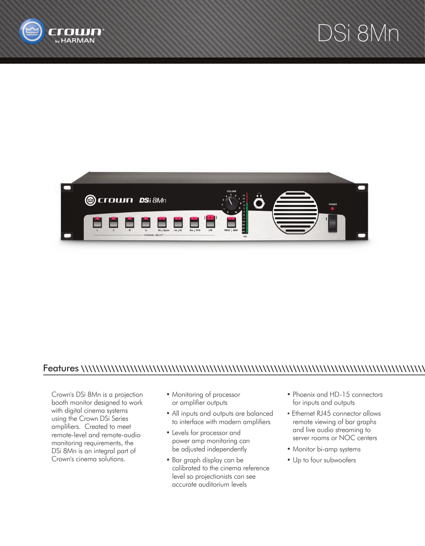





## Features \\\\\\\\\\\\\\\\\\\\\\\\\\\\\\\\\\\\\\\\\\\\\\\\\\\\\\\\\\\\\\\\\\\\\\\\\\\\\\\\\\\\\\\\\\\

Crown's DSi 8Mn is a projection booth monitor designed to work with digital cinema systems using the Crown DSi Series amplifiers. Created to meet remote-level and remote-audio monitoring requirements, the DSi 8Mn is an integral part of Crown's cinema solutions.

- Monitoring of processor or amplifier outputs
- All inputs and outputs are balanced to interface with modern amplifiers
- Levels for processor and power amp monitoring can be adjusted independently
- Bar graph display can be calibrated to the cinema reference level so projectionists can see accurate auditorium levels
- Phoenix and HD-15 connectors for inputs and outputs
- Ethernet RJ45 connector allows remote viewing of bar graphs and live audio streaming to server rooms or NOC centers
- Monitor bi-amp systems
- Up to four subwoofers